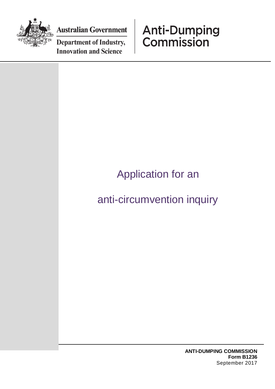

**Australian Government** 

**Department of Industry, Innovation and Science** 

## **Anti-Dumping**<br>Commission

## Application for an anti-circumvention inquiry

**ANTI-DUMPING COMMISSION Form B1236** September 2017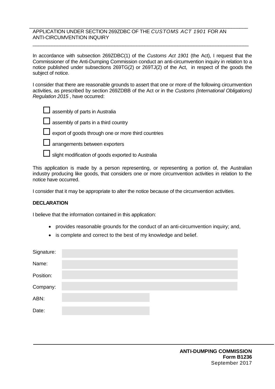## \_\_\_\_\_\_\_\_\_\_\_\_\_\_\_\_\_\_\_\_\_\_\_\_\_\_\_\_\_\_\_\_\_\_\_\_\_\_\_\_\_\_\_\_\_\_\_\_\_\_\_\_\_\_\_\_\_\_\_\_\_\_\_\_\_\_\_\_\_\_\_\_\_\_\_\_\_\_\_\_ APPLICATION UNDER SECTION 269ZDBC OF THE *CUSTOMS ACT 1901* FOR AN ANTI-CIRCUMVENTION INQUIRY

In accordance with subsection 269ZDBC(1) of the *Customs Act 1901* (the Act), I request that the Commissioner of the Anti-Dumping Commission conduct an anti-circumvention inquiry in relation to a notice published under subsections 269TG(2) or 269TJ(2) of the Act, in respect of the goods the subject of notice.

 $\overline{\phantom{a}}$  , and the contribution of the contribution of the contribution of the contribution of the contribution of the contribution of the contribution of the contribution of the contribution of the contribution of the

I consider that there are reasonable grounds to assert that one or more of the following circumvention activities, as prescribed by section 269ZDBB of the Act or in the *Customs (International Obligations) Regulation 2015* , have occurred:

| $\Box$ assembly of parts in Australia |
|---------------------------------------|
| assembly of parts in a third country  |

export of goods through one or more third countries



**L** arrangements between exporters

slight modification of goods exported to Australia

This application is made by a person representing, or representing a portion of, the Australian industry producing like goods, that considers one or more circumvention activities in relation to the notice have occurred.

I consider that it may be appropriate to alter the notice because of the circumvention activities.

## **DECLARATION**

I believe that the information contained in this application:

- provides reasonable grounds for the conduct of an anti-circumvention inquiry; and,
- is complete and correct to the best of my knowledge and belief.

| Signature: |  |
|------------|--|
| Name:      |  |
| Position:  |  |
| Company:   |  |
| ABN:       |  |
| Date:      |  |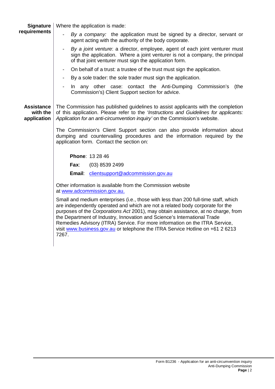| <b>Signature</b>                             | Where the application is made:                                                                                                                                                                                                                                                                                                                                                                                                                                                                                 |
|----------------------------------------------|----------------------------------------------------------------------------------------------------------------------------------------------------------------------------------------------------------------------------------------------------------------------------------------------------------------------------------------------------------------------------------------------------------------------------------------------------------------------------------------------------------------|
| requirements                                 | By a company: the application must be signed by a director, servant or<br>agent acting with the authority of the body corporate.                                                                                                                                                                                                                                                                                                                                                                               |
|                                              | By a joint venture: a director, employee, agent of each joint venturer must<br>$\overline{\phantom{a}}$<br>sign the application. Where a joint venturer is not a company, the principal<br>of that joint venturer must sign the application form.                                                                                                                                                                                                                                                              |
|                                              | On behalf of a trust: a trustee of the trust must sign the application.<br>$\overline{\phantom{a}}$                                                                                                                                                                                                                                                                                                                                                                                                            |
|                                              | By a sole trader: the sole trader must sign the application.                                                                                                                                                                                                                                                                                                                                                                                                                                                   |
|                                              | In any other case: contact the Anti-Dumping Commission's<br>(the<br>Commission's) Client Support section for advice.                                                                                                                                                                                                                                                                                                                                                                                           |
| <b>Assistance</b><br>with the<br>application | The Commission has published guidelines to assist applicants with the completion<br>of this application. Please refer to the 'Instructions and Guidelines for applicants:<br>Application for an anti-circumvention inquiry' on the Commission's website.                                                                                                                                                                                                                                                       |
|                                              | The Commission's Client Support section can also provide information about<br>dumping and countervailing procedures and the information required by the<br>application form. Contact the section on:                                                                                                                                                                                                                                                                                                           |
|                                              | <b>Phone: 13 28 46</b>                                                                                                                                                                                                                                                                                                                                                                                                                                                                                         |
|                                              | Fax:<br>$(03)$ 8539 2499                                                                                                                                                                                                                                                                                                                                                                                                                                                                                       |
|                                              | Email:<br>clientsupport@adcommission.gov.au                                                                                                                                                                                                                                                                                                                                                                                                                                                                    |
|                                              | Other information is available from the Commission website<br>at www.adcommission.gov.au.                                                                                                                                                                                                                                                                                                                                                                                                                      |
|                                              | Small and medium enterprises (i.e., those with less than 200 full-time staff, which<br>are independently operated and which are not a related body corporate for the<br>purposes of the Corporations Act 2001), may obtain assistance, at no charge, from<br>the Department of Industry, Innovation and Science's International Trade<br>Remedies Advisory (ITRA) Service. For more information on the ITRA Service,<br>visit www.business.gov.au or telephone the ITRA Service Hotline on +61 2 6213<br>7267. |
|                                              |                                                                                                                                                                                                                                                                                                                                                                                                                                                                                                                |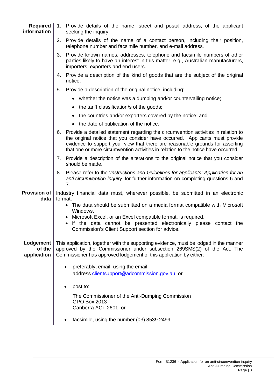| <b>Required</b><br>information     | 1. Provide details of the name, street and postal address, of the applicant<br>seeking the inquiry.                                                                                                                                                                                                                                                                        |
|------------------------------------|----------------------------------------------------------------------------------------------------------------------------------------------------------------------------------------------------------------------------------------------------------------------------------------------------------------------------------------------------------------------------|
|                                    | 2.<br>Provide details of the name of a contact person, including their position,<br>telephone number and facsimile number, and e-mail address.                                                                                                                                                                                                                             |
|                                    | 3.<br>Provide known names, addresses, telephone and facsimile numbers of other<br>parties likely to have an interest in this matter, e.g., Australian manufacturers,<br>importers, exporters and end users.                                                                                                                                                                |
|                                    | Provide a description of the kind of goods that are the subject of the original<br>4.<br>notice.                                                                                                                                                                                                                                                                           |
|                                    | Provide a description of the original notice, including:<br>5.                                                                                                                                                                                                                                                                                                             |
|                                    | • whether the notice was a dumping and/or countervailing notice;                                                                                                                                                                                                                                                                                                           |
|                                    | • the tariff classification/s of the goods;                                                                                                                                                                                                                                                                                                                                |
|                                    | • the countries and/or exporters covered by the notice; and                                                                                                                                                                                                                                                                                                                |
|                                    | • the date of publication of the notice.                                                                                                                                                                                                                                                                                                                                   |
|                                    | Provide a detailed statement regarding the circumvention activities in relation to<br>6.<br>the original notice that you consider have occurred. Applicants must provide<br>evidence to support your view that there are reasonable grounds for asserting<br>that one or more circumvention activities in relation to the notice have occurred.                            |
|                                    | 7. Provide a description of the alterations to the original notice that you consider<br>should be made.                                                                                                                                                                                                                                                                    |
|                                    | Please refer to the 'Instructions and Guidelines for applicants: Application for an<br>8.<br>anti-circumvention inquiry' for further information on completing questions 6 and<br>7.                                                                                                                                                                                       |
| <b>Provision of</b><br>data        | Industry financial data must, wherever possible, be submitted in an electronic<br>format.<br>• The data should be submitted on a media format compatible with Microsoft<br>Windows.<br>Microsoft Excel, or an Excel compatible format, is required.<br>If the data cannot be presented electronically please contact the<br>Commission's Client Support section for advice |
| Lodgement<br>of the<br>application | This application, together with the supporting evidence, must be lodged in the manner<br>approved by the Commissioner under subsection 269SMS(2) of the Act. The<br>Commissioner has approved lodgement of this application by either:                                                                                                                                     |
|                                    | preferably, email, using the email<br>$\bullet$<br>address clientsupport@adcommission.gov.au, or                                                                                                                                                                                                                                                                           |
|                                    | post to:                                                                                                                                                                                                                                                                                                                                                                   |
|                                    | The Commissioner of the Anti-Dumping Commission<br><b>GPO Box 2013</b><br>Canberra ACT 2601, or                                                                                                                                                                                                                                                                            |
|                                    | facsimile, using the number (03) 8539 2499.                                                                                                                                                                                                                                                                                                                                |